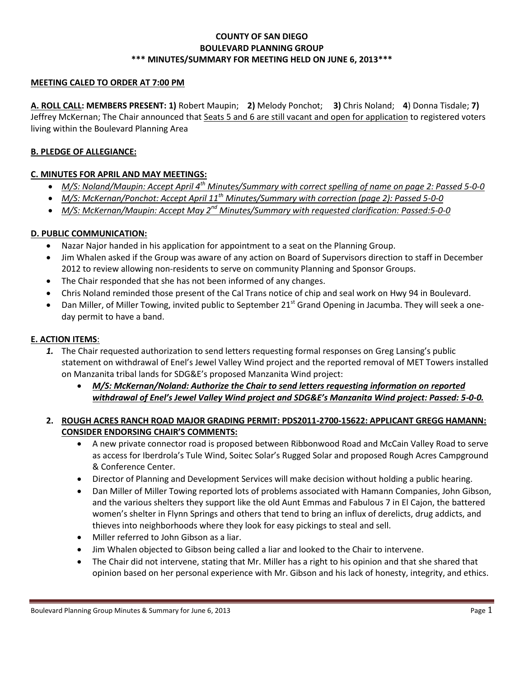### **COUNTY OF SAN DIEGO BOULEVARD PLANNING GROUP \*\*\* MINUTES/SUMMARY FOR MEETING HELD ON JUNE 6, 2013\*\*\***

#### **MEETING CALED TO ORDER AT 7:00 PM**

**A. ROLL CALL: MEMBERS PRESENT: 1)** Robert Maupin; **2)** Melody Ponchot; **3)** Chris Noland; **4**) Donna Tisdale; **7)**  Jeffrey McKernan; The Chair announced that Seats 5 and 6 are still vacant and open for application to registered voters living within the Boulevard Planning Area

#### **B. PLEDGE OF ALLEGIANCE:**

#### **C. MINUTES FOR APRIL AND MAY MEETINGS:**

- *M/S: Noland/Maupin: Accept April 4th Minutes/Summary with correct spelling of name on page 2: Passed 5-0-0*
- *M/S: McKernan/Ponchot: Accept April 11th Minutes/Summary with correction (page 2): Passed 5-0-0*
- *M/S: McKernan/Maupin: Accept May 2nd Minutes/Summary with requested clarification: Passed:5-0-0*

#### **D. PUBLIC COMMUNICATION:**

- Nazar Najor handed in his application for appointment to a seat on the Planning Group.
- Jim Whalen asked if the Group was aware of any action on Board of Supervisors direction to staff in December 2012 to review allowing non-residents to serve on community Planning and Sponsor Groups.
- The Chair responded that she has not been informed of any changes.
- Chris Noland reminded those present of the Cal Trans notice of chip and seal work on Hwy 94 in Boulevard.
- Dan Miller, of Miller Towing, invited public to September 21<sup>st</sup> Grand Opening in Jacumba. They will seek a oneday permit to have a band.

#### **E. ACTION ITEMS**:

- *1.* The Chair requested authorization to send letters requesting formal responses on Greg Lansing's public statement on withdrawal of Enel's Jewel Valley Wind project and the reported removal of MET Towers installed on Manzanita tribal lands for SDG&E's proposed Manzanita Wind project:
	- *M/S: McKernan/Noland: Authorize the Chair to send letters requesting information on reported withdrawal of Enel's Jewel Valley Wind project and SDG&E's Manzanita Wind project: Passed: 5-0-0.*

#### **2. ROUGH ACRES RANCH ROAD MAJOR GRADING PERMIT: PDS2011-2700-15622: APPLICANT GREGG HAMANN: CONSIDER ENDORSING CHAIR'S COMMENTS:**

- A new private connector road is proposed between Ribbonwood Road and McCain Valley Road to serve as access for Iberdrola's Tule Wind, Soitec Solar's Rugged Solar and proposed Rough Acres Campground & Conference Center.
- Director of Planning and Development Services will make decision without holding a public hearing.
- Dan Miller of Miller Towing reported lots of problems associated with Hamann Companies, John Gibson, and the various shelters they support like the old Aunt Emmas and Fabulous 7 in El Cajon, the battered women's shelter in Flynn Springs and others that tend to bring an influx of derelicts, drug addicts, and thieves into neighborhoods where they look for easy pickings to steal and sell.
- Miller referred to John Gibson as a liar.
- Jim Whalen objected to Gibson being called a liar and looked to the Chair to intervene.
- The Chair did not intervene, stating that Mr. Miller has a right to his opinion and that she shared that opinion based on her personal experience with Mr. Gibson and his lack of honesty, integrity, and ethics.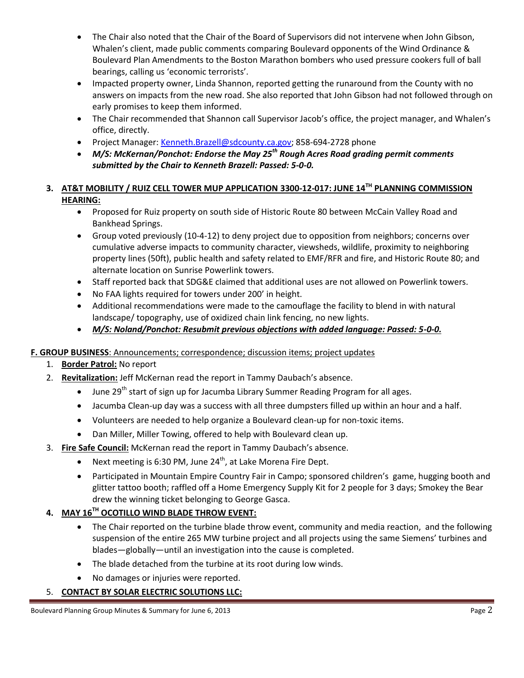- The Chair also noted that the Chair of the Board of Supervisors did not intervene when John Gibson, Whalen's client, made public comments comparing Boulevard opponents of the Wind Ordinance & Boulevard Plan Amendments to the Boston Marathon bombers who used pressure cookers full of ball bearings, calling us 'economic terrorists'.
- Impacted property owner, Linda Shannon, reported getting the runaround from the County with no answers on impacts from the new road. She also reported that John Gibson had not followed through on early promises to keep them informed.
- The Chair recommended that Shannon call Supervisor Jacob's office, the project manager, and Whalen's office, directly.
- Project Manager: Kenneth.Brazell@sdcounty.ca.gov; 858-694-2728 phone
- *M/S: McKernan/Ponchot: Endorse the May 25th Rough Acres Road grading permit comments submitted by the Chair to Kenneth Brazell: Passed: 5-0-0.*

## **3. AT&T MOBILITY / RUIZ CELL TOWER MUP APPLICATION 3300-12-017: JUNE 14TH PLANNING COMMISSION HEARING:**

- Proposed for Ruiz property on south side of Historic Route 80 between McCain Valley Road and Bankhead Springs.
- Group voted previously (10-4-12) to deny project due to opposition from neighbors; concerns over cumulative adverse impacts to community character, viewsheds, wildlife, proximity to neighboring property lines (50ft), public health and safety related to EMF/RFR and fire, and Historic Route 80; and alternate location on Sunrise Powerlink towers.
- Staff reported back that SDG&E claimed that additional uses are not allowed on Powerlink towers.
- No FAA lights required for towers under 200' in height.
- Additional recommendations were made to the camouflage the facility to blend in with natural landscape/ topography, use of oxidized chain link fencing, no new lights.
- *M/S: Noland/Ponchot: Resubmit previous objections with added language: Passed: 5-0-0.*

### **F. GROUP BUSINESS**: Announcements; correspondence; discussion items; project updates

- 1. **Border Patrol:** No report
- 2. **Revitalization:** Jeff McKernan read the report in Tammy Daubach's absence.
	- June 29<sup>th</sup> start of sign up for Jacumba Library Summer Reading Program for all ages.
	- Jacumba Clean-up day was a success with all three dumpsters filled up within an hour and a half.
	- Volunteers are needed to help organize a Boulevard clean-up for non-toxic items.
	- Dan Miller, Miller Towing, offered to help with Boulevard clean up.
- 3. **Fire Safe Council:** McKernan read the report in Tammy Daubach's absence.
	- Next meeting is 6:30 PM, June 24<sup>th</sup>, at Lake Morena Fire Dept.
	- Participated in Mountain Empire Country Fair in Campo; sponsored children's game, hugging booth and glitter tattoo booth; raffled off a Home Emergency Supply Kit for 2 people for 3 days; Smokey the Bear drew the winning ticket belonging to George Gasca.

# **4. MAY 16TH OCOTILLO WIND BLADE THROW EVENT:**

- The Chair reported on the turbine blade throw event, community and media reaction, and the following suspension of the entire 265 MW turbine project and all projects using the same Siemens' turbines and blades—globally—until an investigation into the cause is completed.
- The blade detached from the turbine at its root during low winds.
- No damages or injuries were reported.

### 5. **CONTACT BY SOLAR ELECTRIC SOLUTIONS LLC:**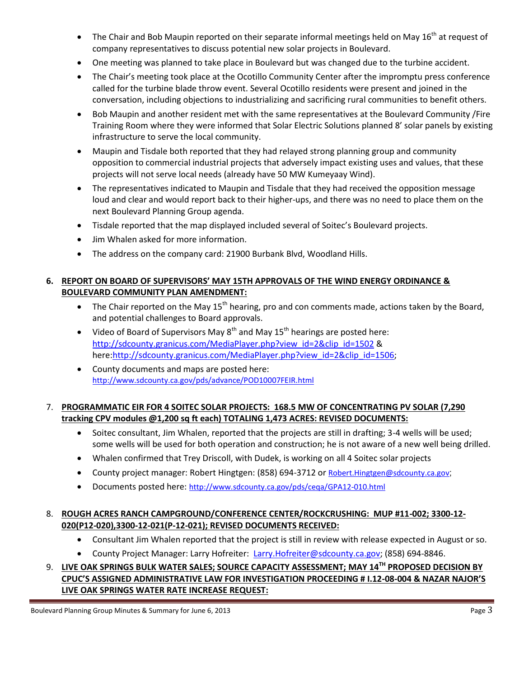- $\bullet$  The Chair and Bob Maupin reported on their separate informal meetings held on May 16<sup>th</sup> at request of company representatives to discuss potential new solar projects in Boulevard.
- One meeting was planned to take place in Boulevard but was changed due to the turbine accident.
- The Chair's meeting took place at the Ocotillo Community Center after the impromptu press conference called for the turbine blade throw event. Several Ocotillo residents were present and joined in the conversation, including objections to industrializing and sacrificing rural communities to benefit others.
- Bob Maupin and another resident met with the same representatives at the Boulevard Community /Fire Training Room where they were informed that Solar Electric Solutions planned 8' solar panels by existing infrastructure to serve the local community.
- Maupin and Tisdale both reported that they had relayed strong planning group and community opposition to commercial industrial projects that adversely impact existing uses and values, that these projects will not serve local needs (already have 50 MW Kumeyaay Wind).
- The representatives indicated to Maupin and Tisdale that they had received the opposition message loud and clear and would report back to their higher-ups, and there was no need to place them on the next Boulevard Planning Group agenda.
- Tisdale reported that the map displayed included several of Soitec's Boulevard projects.
- Jim Whalen asked for more information.
- The address on the company card: 21900 Burbank Blvd, Woodland Hills.

## **6. REPORT ON BOARD OF SUPERVISORS' MAY 15TH APPROVALS OF THE WIND ENERGY ORDINANCE & BOULEVARD COMMUNITY PLAN AMENDMENT:**

- The Chair reported on the May  $15<sup>th</sup>$  hearing, pro and con comments made, actions taken by the Board, and potential challenges to Board approvals.
- Video of Board of Supervisors May  $8^{th}$  and May 15<sup>th</sup> hearings are posted here: http://sdcounty.granicus.com/MediaPlayer.php?view\_id=2&clip\_id=1502 & here:http://sdcounty.granicus.com/MediaPlayer.php?view\_id=2&clip\_id=1506;
- County documents and maps are posted here: http://www.sdcounty.ca.gov/pds/advance/POD10007FEIR.html

## 7. **PROGRAMMATIC EIR FOR 4 SOITEC SOLAR PROJECTS: 168.5 MW OF CONCENTRATING PV SOLAR (7,290 tracking CPV modules @1,200 sq ft each) TOTALING 1,473 ACRES: REVISED DOCUMENTS:**

- Soitec consultant, Jim Whalen, reported that the projects are still in drafting; 3-4 wells will be used; some wells will be used for both operation and construction; he is not aware of a new well being drilled.
- Whalen confirmed that Trey Driscoll, with Dudek, is working on all 4 Soitec solar projects
- County project manager: Robert Hingtgen: (858) 694-3712 or Robert. Hingtgen@sdcounty.ca.gov;
- Documents posted here: http://www.sdcounty.ca.gov/pds/ceqa/GPA12-010.html

## 8. **ROUGH ACRES RANCH CAMPGROUND/CONFERENCE CENTER/ROCKCRUSHING: MUP #11-002; 3300-12- 020(P12-020),3300-12-021(P-12-021); REVISED DOCUMENTS RECEIVED:**

- Consultant Jim Whalen reported that the project is still in review with release expected in August or so.
- County Project Manager: Larry Hofreiter: Larry.Hofreiter@sdcounty.ca.gov; (858) 694-8846.
- 9. **LIVE OAK SPRINGS BULK WATER SALES; SOURCE CAPACITY ASSESSMENT; MAY 14TH PROPOSED DECISION BY CPUC'S ASSIGNED ADMINISTRATIVE LAW FOR INVESTIGATION PROCEEDING # I.12-08-004 & NAZAR NAJOR'S LIVE OAK SPRINGS WATER RATE INCREASE REQUEST:**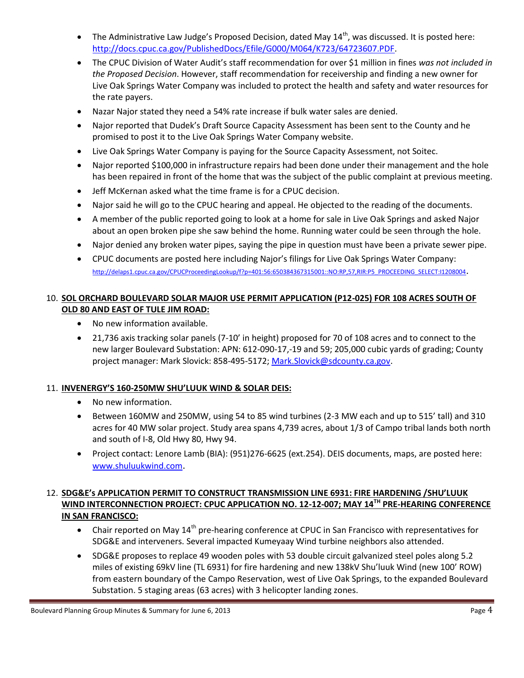- The Administrative Law Judge's Proposed Decision, dated May  $14<sup>th</sup>$ , was discussed. It is posted here: http://docs.cpuc.ca.gov/PublishedDocs/Efile/G000/M064/K723/64723607.PDF.
- The CPUC Division of Water Audit's staff recommendation for over \$1 million in fines *was not included in the Proposed Decision*. However, staff recommendation for receivership and finding a new owner for Live Oak Springs Water Company was included to protect the health and safety and water resources for the rate payers.
- Nazar Najor stated they need a 54% rate increase if bulk water sales are denied.
- Najor reported that Dudek's Draft Source Capacity Assessment has been sent to the County and he promised to post it to the Live Oak Springs Water Company website.
- Live Oak Springs Water Company is paying for the Source Capacity Assessment, not Soitec.
- Najor reported \$100,000 in infrastructure repairs had been done under their management and the hole has been repaired in front of the home that was the subject of the public complaint at previous meeting.
- Jeff McKernan asked what the time frame is for a CPUC decision.
- Najor said he will go to the CPUC hearing and appeal. He objected to the reading of the documents.
- A member of the public reported going to look at a home for sale in Live Oak Springs and asked Najor about an open broken pipe she saw behind the home. Running water could be seen through the hole.
- Najor denied any broken water pipes, saying the pipe in question must have been a private sewer pipe.
- CPUC documents are posted here including Najor's filings for Live Oak Springs Water Company: http://delaps1.cpuc.ca.gov/CPUCProceedingLookup/f?p=401:56:650384367315001::NO:RP,57,RIR:P5\_PROCEEDING\_SELECT:I1208004.

# 10. **SOL ORCHARD BOULEVARD SOLAR MAJOR USE PERMIT APPLICATION (P12-025) FOR 108 ACRES SOUTH OF OLD 80 AND EAST OF TULE JIM ROAD:**

- No new information available.
- 21,736 axis tracking solar panels (7-10' in height) proposed for 70 of 108 acres and to connect to the new larger Boulevard Substation: APN: 612-090-17,-19 and 59; 205,000 cubic yards of grading; County project manager: Mark Slovick: 858-495-5172; Mark.Slovick@sdcounty.ca.gov.

# 11. **INVENERGY'S 160-250MW SHU'LUUK WIND & SOLAR DEIS:**

- No new information.
- Between 160MW and 250MW, using 54 to 85 wind turbines (2-3 MW each and up to 515' tall) and 310 acres for 40 MW solar project. Study area spans 4,739 acres, about 1/3 of Campo tribal lands both north and south of I-8, Old Hwy 80, Hwy 94.
- Project contact: Lenore Lamb (BIA): (951)276-6625 (ext.254). DEIS documents, maps, are posted here: www.shuluukwind.com.

## 12. **SDG&E's APPLICATION PERMIT TO CONSTRUCT TRANSMISSION LINE 6931: FIRE HARDENING /SHU'LUUK WIND INTERCONNECTION PROJECT: CPUC APPLICATION NO. 12-12-007; MAY 14TH PRE-HEARING CONFERENCE IN SAN FRANCISCO:**

- **•** Chair reported on May 14<sup>th</sup> pre-hearing conference at CPUC in San Francisco with representatives for SDG&E and interveners. Several impacted Kumeyaay Wind turbine neighbors also attended.
- SDG&E proposes to replace 49 wooden poles with 53 double circuit galvanized steel poles along 5.2 miles of existing 69kV line (TL 6931) for fire hardening and new 138kV Shu'luuk Wind (new 100' ROW) from eastern boundary of the Campo Reservation, west of Live Oak Springs, to the expanded Boulevard Substation. 5 staging areas (63 acres) with 3 helicopter landing zones.